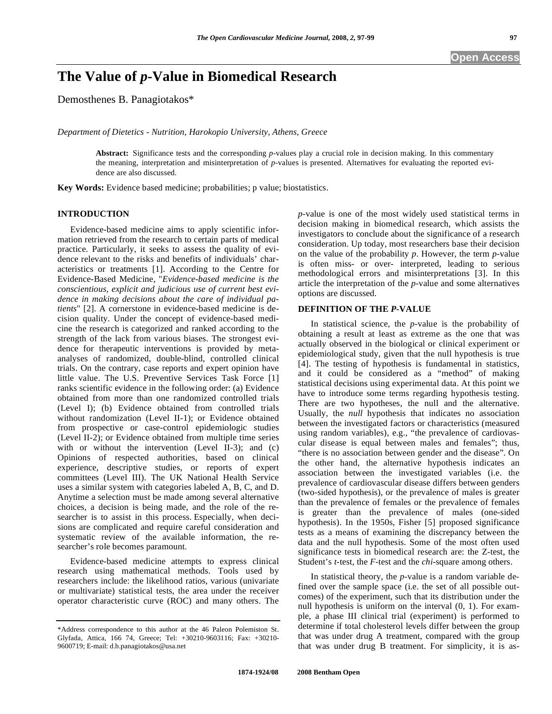# **The Value of** *p***-Value in Biomedical Research**

Demosthenes B. Panagiotakos\*

*Department of Dietetics - Nutrition, Harokopio University, Athens, Greece* 

**Abstract:** Significance tests and the corresponding *p*-values play a crucial role in decision making. In this commentary the meaning, interpretation and misinterpretation of *p*-values is presented. Alternatives for evaluating the reported evidence are also discussed.

**Key Words:** Evidence based medicine; probabilities; p value; biostatistics.

### **INTRODUCTION**

 Evidence-based medicine aims to apply scientific information retrieved from the research to certain parts of medical practice. Particularly, it seeks to assess the quality of evidence relevant to the risks and benefits of individuals' characteristics or treatments [1]. According to the Centre for Evidence-Based Medicine, "*Evidence-based medicine is the conscientious, explicit and judicious use of current best evidence in making decisions about the care of individual patients*" [2]. A cornerstone in evidence-based medicine is decision quality. Under the concept of evidence-based medicine the research is categorized and ranked according to the strength of the lack from various biases. The strongest evidence for therapeutic interventions is provided by metaanalyses of randomized, double-blind, controlled clinical trials. On the contrary, case reports and expert opinion have little value. The U.S. Preventive Services Task Force [1] ranks scientific evidence in the following order: (a) Evidence obtained from more than one randomized controlled trials (Level I); (b) Evidence obtained from controlled trials without randomization (Level II-1); or Evidence obtained from prospective or case-control epidemiologic studies (Level II-2); or Evidence obtained from multiple time series with or without the intervention (Level II-3); and (c) Opinions of respected authorities, based on clinical experience, descriptive studies, or reports of expert committees (Level III). The UK National Health Service uses a similar system with categories labeled A, B, C, and D. Anytime a selection must be made among several alternative choices, a decision is being made, and the role of the researcher is to assist in this process. Especially, when decisions are complicated and require careful consideration and systematic review of the available information, the researcher's role becomes paramount.

 Evidence-based medicine attempts to express clinical research using mathematical methods. Tools used by researchers include: the likelihood ratios, various (univariate or multivariate) statistical tests, the area under the receiver operator characteristic curve (ROC) and many others. The *p*-value is one of the most widely used statistical terms in decision making in biomedical research, which assists the investigators to conclude about the significance of a research consideration. Up today, most researchers base their decision on the value of the probability *p*. However, the term *p*-value is often miss- or over- interpreted, leading to serious methodological errors and misinterpretations [3]. In this article the interpretation of the *p*-value and some alternatives options are discussed.

# **DEFINITION OF THE** *P***-VALUE**

 In statistical science, the *p*-value is the probability of obtaining a result at least as extreme as the one that was actually observed in the biological or clinical experiment or epidemiological study, given that the null hypothesis is true [4]. The testing of hypothesis is fundamental in statistics, and it could be considered as a "method" of making statistical decisions using experimental data. At this point we have to introduce some terms regarding hypothesis testing. There are two hypotheses, the null and the alternative. Usually, the *null* hypothesis that indicates no association between the investigated factors or characteristics (measured using random variables), e.g., "the prevalence of cardiovascular disease is equal between males and females"; thus, "there is no association between gender and the disease". On the other hand, the alternative hypothesis indicates an association between the investigated variables (i.e. the prevalence of cardiovascular disease differs between genders (two-sided hypothesis), or the prevalence of males is greater than the prevalence of females or the prevalence of females is greater than the prevalence of males (one-sided hypothesis). In the 1950s, Fisher [5] proposed significance tests as a means of examining the discrepancy between the data and the null hypothesis. Some of the most often used significance tests in biomedical research are: the Z-test, the Student's *t*-test, the *F*-test and the *chi*-square among others.

 In statistical theory, the *p*-value is a random variable defined over the sample space (i.e. the set of all possible outcomes) of the experiment, such that its distribution under the null hypothesis is uniform on the interval (0, 1). For example, a phase III clinical trial (experiment) is performed to determine if total cholesterol levels differ between the group that was under drug A treatment, compared with the group that was under drug B treatment. For simplicity, it is as-

<sup>\*</sup>Address correspondence to this author at the 46 Paleon Polemiston St. Glyfada, Attica, 166 74, Greece; Tel: +30210-9603116; Fax: +30210- 9600719; E-mail: d.b.panagiotakos@usa.net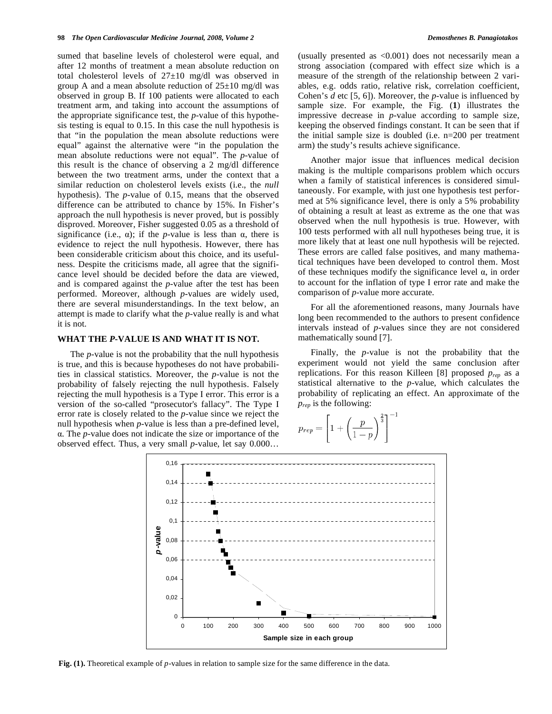sumed that baseline levels of cholesterol were equal, and after 12 months of treatment a mean absolute reduction on total cholesterol levels of  $27\pm10$  mg/dl was observed in group A and a mean absolute reduction of  $25\pm10$  mg/dl was observed in group B. If 100 patients were allocated to each treatment arm, and taking into account the assumptions of the appropriate significance test, the *p*-value of this hypothesis testing is equal to 0.15. In this case the null hypothesis is that "in the population the mean absolute reductions were equal" against the alternative were "in the population the mean absolute reductions were not equal". The *p*-value of this result is the chance of observing a 2 mg/dl difference between the two treatment arms, under the context that a similar reduction on cholesterol levels exists (i.e., the *null* hypothesis). The *p*-value of 0.15, means that the observed difference can be attributed to chance by 15%. In Fisher's approach the null hypothesis is never proved, but is possibly disproved. Moreover, Fisher suggested 0.05 as a threshold of significance (i.e.,  $\alpha$ ); if the *p*-value is less than  $\alpha$ , there is evidence to reject the null hypothesis. However, there has been considerable criticism about this choice, and its usefulness. Despite the criticisms made, all agree that the significance level should be decided before the data are viewed, and is compared against the *p*-value after the test has been performed. Moreover, although *p*-values are widely used, there are several misunderstandings. In the text below, an attempt is made to clarify what the *p*-value really is and what it is not.

# **WHAT THE** *P***-VALUE IS AND WHAT IT IS NOT.**

 The *p*-value is not the probability that the null hypothesis is true, and this is because hypotheses do not have probabilities in classical statistics. Moreover, the *p*-value is not the probability of falsely rejecting the null hypothesis. Falsely rejecting the mull hypothesis is a Type I error. This error is a version of the so-called "prosecutor's fallacy". The Type I error rate is closely related to the *p*-value since we reject the null hypothesis when *p*-value is less than a pre-defined level, . The *p*-value does not indicate the size or importance of the observed effect. Thus, a very small *p*-value, let say 0.000…

(usually presented as  $\langle 0.001 \rangle$  does not necessarily mean a strong association (compared with effect size which is a measure of the strength of the relationship between 2 variables, e.g. odds ratio, relative risk, correlation coefficient, Cohen's *d* etc [5, 6]). Moreover, the *p*-value is influenced by sample size. For example, the Fig. (**1**) illustrates the impressive decrease in *p*-value according to sample size, keeping the observed findings constant. It can be seen that if the initial sample size is doubled (i.e. n=200 per treatment arm) the study's results achieve significance.

 Another major issue that influences medical decision making is the multiple comparisons problem which occurs when a family of statistical inferences is considered simultaneously. For example, with just one hypothesis test performed at 5% significance level, there is only a 5% probability of obtaining a result at least as extreme as the one that was observed when the null hypothesis is true. However, with 100 tests performed with all null hypotheses being true, it is more likely that at least one null hypothesis will be rejected. These errors are called false positives, and many mathematical techniques have been developed to control them. Most of these techniques modify the significance level  $\alpha$ , in order to account for the inflation of type I error rate and make the comparison of *p*-value more accurate.

 For all the aforementioned reasons, many Journals have long been recommended to the authors to present confidence intervals instead of *p*-values since they are not considered mathematically sound [7].

 Finally, the *p*-value is not the probability that the experiment would not yield the same conclusion after replications. For this reason Killeen [8] proposed  $p_{\text{ren}}$  as a statistical alternative to the *p*-value, which calculates the probability of replicating an effect. An approximate of the *prep* is the following:

$$
p_{rep} = \left[1 + \left(\frac{p}{1-p}\right)^{\frac{2}{3}}\right]^{-1}
$$



**Fig. (1).** Theoretical example of *p*-values in relation to sample size for the same difference in the data.